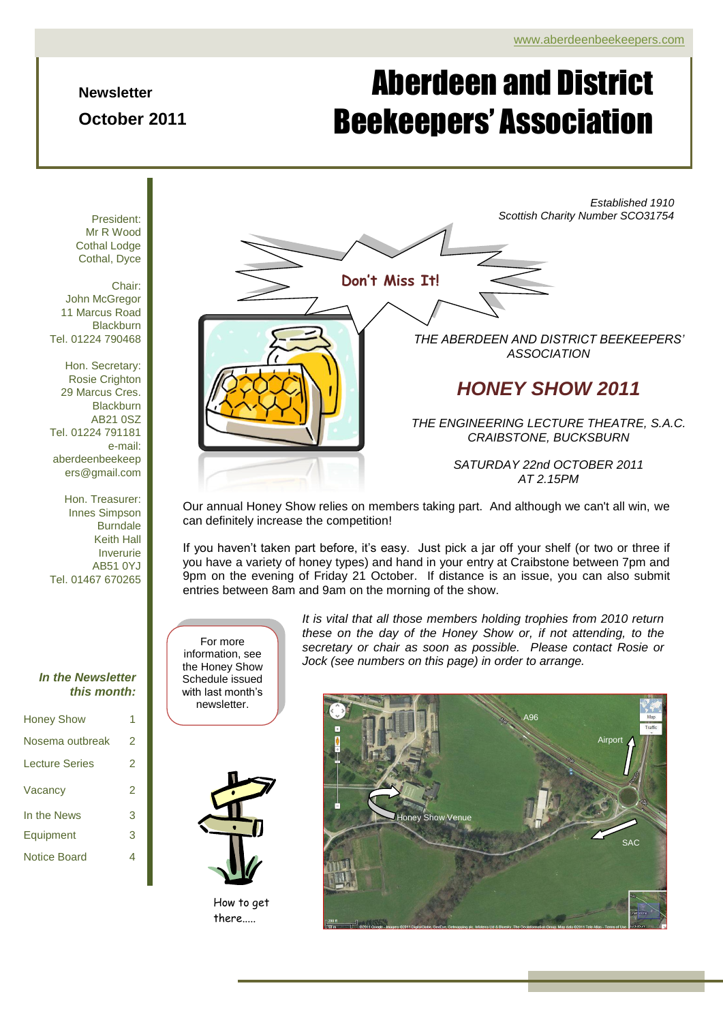**Newsletter**

**October 2011**

# Page 1 of 4 ADBA Newsletter Aberdeen and District Beekeepers' Association

*Established 1910 Scottish Charity Number SCO31754 THE ABERDEEN AND DISTRICT BEEKEEPERS' ASSOCIATION HONEY SHOW 2011 THE ENGINEERING LECTURE THEATRE, S.A.C. CRAIBSTONE, BUCKSBURN SATURDAY 22nd OCTOBER 2011 AT 2.15PM* **Don't Miss It!**

Our annual Honey Show relies on members taking part. And although we can't all win, we can definitely increase the competition!

If you haven't taken part before, it's easy. Just pick a jar off your shelf (or two or three if you have a variety of honey types) and hand in your entry at Craibstone between 7pm and 9pm on the evening of Friday 21 October. If distance is an issue, you can also submit entries between 8am and 9am on the morning of the show.

For more information, see the Honey Show Schedule issued with last month's newsletter.

*It is vital that all those members holding trophies from 2010 return these on the day of the Honey Show or, if not attending, to the secretary or chair as soon as possible. Please contact Rosie or Jock (see numbers on this page) in order to arrange.*



How to get there.....



President: Mr R Wood Cothal Lodge Cothal, Dyce

Chair: John McGregor 11 Marcus Road **Blackburn** Tel. 01224 790468

Hon. Secretary: Rosie Crighton 29 Marcus Cres. **Blackburn** AB21 0SZ Tel. 01224 791181 e-mail: aberdeenbeekeep ers@gmail.com

Hon. Treasurer: Innes Simpson Burndale Keith Hall Inverurie AB51 0YJ Tel. 01467 670265

#### *In the Newsletter this month:*

| <b>Honey Show</b>     | 1 |
|-----------------------|---|
| Nosema outbreak       | 2 |
| <b>Lecture Series</b> | 2 |
| Vacancy               | 2 |
| In the News           | 3 |
| Equipment             | 3 |
| Notice Board          | 4 |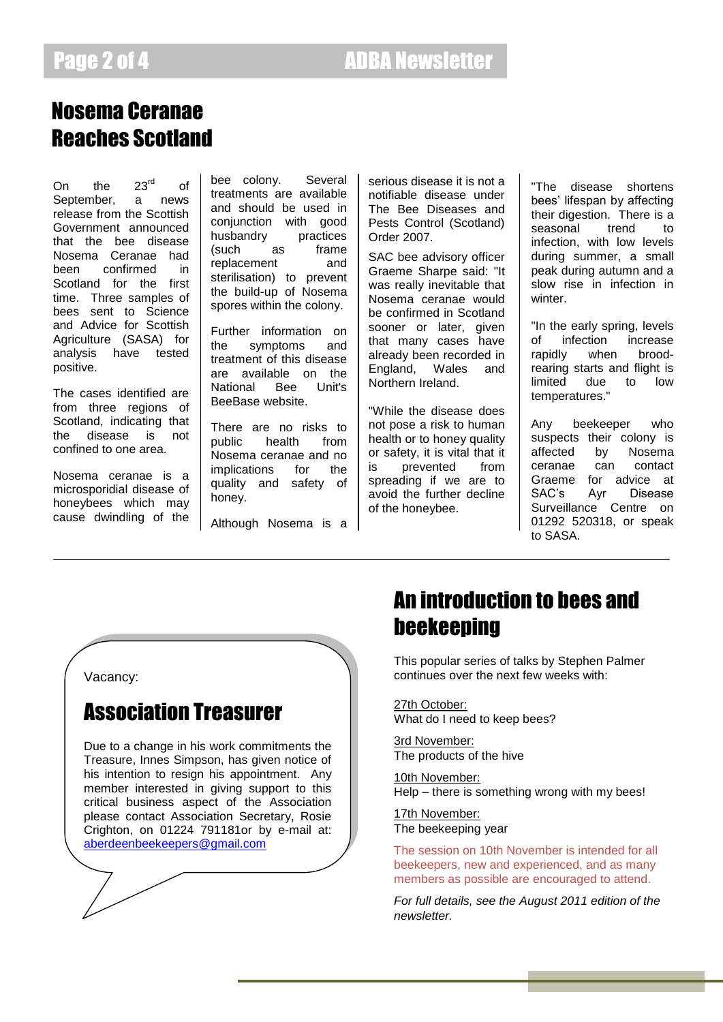#### Page 2 of 4 ADBA Newsletter

#### Nosema Ceranae Reaches Scotland

On the 23<sup>rd</sup> of September, a news release from the Scottish Government announced that the bee disease Nosema Ceranae had been confirmed in Scotland for the first time. Three samples of bees sent to Science and Advice for Scottish Agriculture (SASA) for analysis have tested positive.

The cases identified are from three regions of Scotland, indicating that the disease is not confined to one area.

Nosema ceranae is a microsporidial disease of honeybees which may cause dwindling of the

bee colony. Several treatments are available and should be used in conjunction with good husbandry practices (such as frame replacement and sterilisation) to prevent the build-up of Nosema spores within the colony.

Further information on the symptoms and treatment of this disease are available on the National Bee Unit's BeeBase website.

There are no risks to public health from Nosema ceranae and no implications for the quality and safety of honey.

Although Nosema is a

serious disease it is not a notifiable disease under The Bee Diseases and Pests Control (Scotland) Order 2007.

SAC bee advisory officer Graeme Sharpe said: "It was really inevitable that Nosema ceranae would be confirmed in Scotland sooner or later, given that many cases have already been recorded in England, Wales and Northern Ireland.

"While the disease does not pose a risk to human health or to honey quality or safety, it is vital that it is prevented from spreading if we are to avoid the further decline of the honeybee.

"The disease shortens bees" lifespan by affecting their digestion. There is a seasonal trend to infection, with low levels during summer, a small peak during autumn and a slow rise in infection in winter.

"In the early spring, levels of infection increase rapidly when broodrearing starts and flight is limited due to low temperatures."

Any beekeeper who suspects their colony is<br>affected by Nosema affected by Nosema ceranae can contact Graeme for advice at SAC"s Ayr Disease Surveillance Centre on 01292 520318, or speak to SASA.

Vacancy:

#### Association Treasurer

Due to a change in his work commitments the Treasure, Innes Simpson, has given notice of his intention to resign his appointment. Any member interested in giving support to this critical business aspect of the Association please contact Association Secretary, Rosie Crighton, on 01224 791181or by e-mail at: [aberdeenbeekeepers@gmail.com](mailto:aberdeenbeekeepers@gmail.com)

## An introduction to bees and beekeeping

This popular series of talks by Stephen Palmer continues over the next few weeks with:

27th October: What do I need to keep bees?

3rd November: The products of the hive

10th November: Help – there is something wrong with my bees!

17th November: The beekeeping year

The session on 10th November is intended for all beekeepers, new and experienced, and as many members as possible are encouraged to attend.

*For full details, see the August 2011 edition of the newsletter.*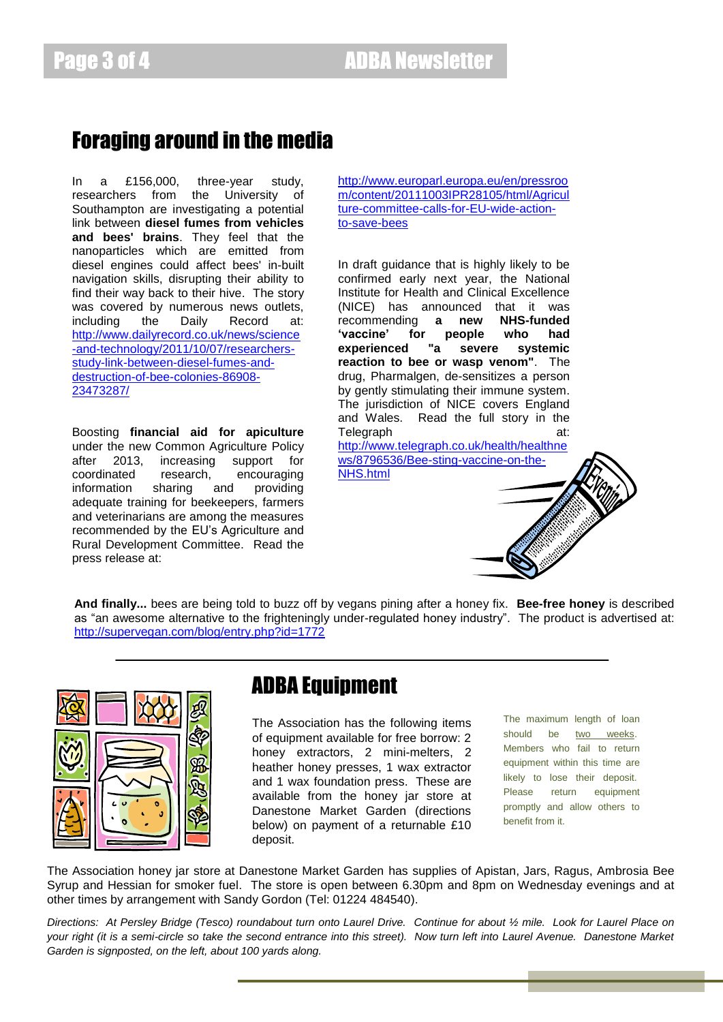#### Foraging around in the media

In a £156,000, three-year study, researchers from the University of Southampton are investigating a potential link between **diesel fumes from vehicles and bees' brains**. They feel that the nanoparticles which are emitted from diesel engines could affect bees' in-built navigation skills, disrupting their ability to find their way back to their hive. The story was covered by numerous news outlets, including the Daily Record at: [http://www.dailyrecord.co.uk/news/science](http://www.dailyrecord.co.uk/news/science-and-technology/2011/10/07/researchers-study-link-between-diesel-fumes-and-destruction-of-bee-colonies-86908-23473287/) [-and-technology/2011/10/07/researchers](http://www.dailyrecord.co.uk/news/science-and-technology/2011/10/07/researchers-study-link-between-diesel-fumes-and-destruction-of-bee-colonies-86908-23473287/)[study-link-between-diesel-fumes-and](http://www.dailyrecord.co.uk/news/science-and-technology/2011/10/07/researchers-study-link-between-diesel-fumes-and-destruction-of-bee-colonies-86908-23473287/)[destruction-of-bee-colonies-86908-](http://www.dailyrecord.co.uk/news/science-and-technology/2011/10/07/researchers-study-link-between-diesel-fumes-and-destruction-of-bee-colonies-86908-23473287/) [23473287/](http://www.dailyrecord.co.uk/news/science-and-technology/2011/10/07/researchers-study-link-between-diesel-fumes-and-destruction-of-bee-colonies-86908-23473287/)

Boosting **financial aid for apiculture** under the new Common Agriculture Policy after 2013, increasing support for coordinated research, encouraging information sharing and providing adequate training for beekeepers, farmers and veterinarians are among the measures recommended by the EU"s Agriculture and Rural Development Committee. Read the press release at:

[http://www.europarl.europa.eu/en/pressroo](http://www.europarl.europa.eu/en/pressroom/content/20111003IPR28105/html/Agriculture-committee-calls-for-EU-wide-action-to-save-bees) [m/content/20111003IPR28105/html/Agricul](http://www.europarl.europa.eu/en/pressroom/content/20111003IPR28105/html/Agriculture-committee-calls-for-EU-wide-action-to-save-bees) [ture-committee-calls-for-EU-wide-action](http://www.europarl.europa.eu/en/pressroom/content/20111003IPR28105/html/Agriculture-committee-calls-for-EU-wide-action-to-save-bees)[to-save-bees](http://www.europarl.europa.eu/en/pressroom/content/20111003IPR28105/html/Agriculture-committee-calls-for-EU-wide-action-to-save-bees)

In draft guidance that is highly likely to be confirmed early next year, the National Institute for Health and Clinical Excellence (NICE) has announced that it was recommending **a new NHS-funded 'vaccine' for people who had experienced "a severe systemic reaction to bee or wasp venom"**. The drug, Pharmalgen, de-sensitizes a person by gently stimulating their immune system. The jurisdiction of NICE covers England and Wales. Read the full story in the Telegraph at:

[http://www.telegraph.co.uk/health/healthne](http://www.telegraph.co.uk/health/healthnews/8796536/Bee-sting-vaccine-on-the-NHS.html) [ws/8796536/Bee-sting-vaccine-on-the-](http://www.telegraph.co.uk/health/healthnews/8796536/Bee-sting-vaccine-on-the-NHS.html)[NHS.html](http://www.telegraph.co.uk/health/healthnews/8796536/Bee-sting-vaccine-on-the-NHS.html)

**And finally...** bees are being told to buzz off by vegans pining after a honey fix. **Bee-free honey** is described as "an awesome alternative to the frighteningly under-regulated honey industry". The product is advertised at: <http://supervegan.com/blog/entry.php?id=1772>



#### ADBA Equipment

The Association has the following items of equipment available for free borrow: 2 honey extractors, 2 mini-melters, 2 heather honey presses, 1 wax extractor and 1 wax foundation press. These are available from the honey jar store at Danestone Market Garden (directions below) on payment of a returnable £10 deposit.

The maximum length of loan should be two weeks. Members who fail to return equipment within this time are likely to lose their deposit. Please return equipment promptly and allow others to benefit from it.

The Association honey jar store at Danestone Market Garden has supplies of Apistan, Jars, Ragus, Ambrosia Bee Syrup and Hessian for smoker fuel. The store is open between 6.30pm and 8pm on Wednesday evenings and at other times by arrangement with Sandy Gordon (Tel: 01224 484540).

*Directions: At Persley Bridge (Tesco) roundabout turn onto Laurel Drive. Continue for about ½ mile. Look for Laurel Place on your right (it is a semi-circle so take the second entrance into this street). Now turn left into Laurel Avenue. Danestone Market Garden is signposted, on the left, about 100 yards along.*